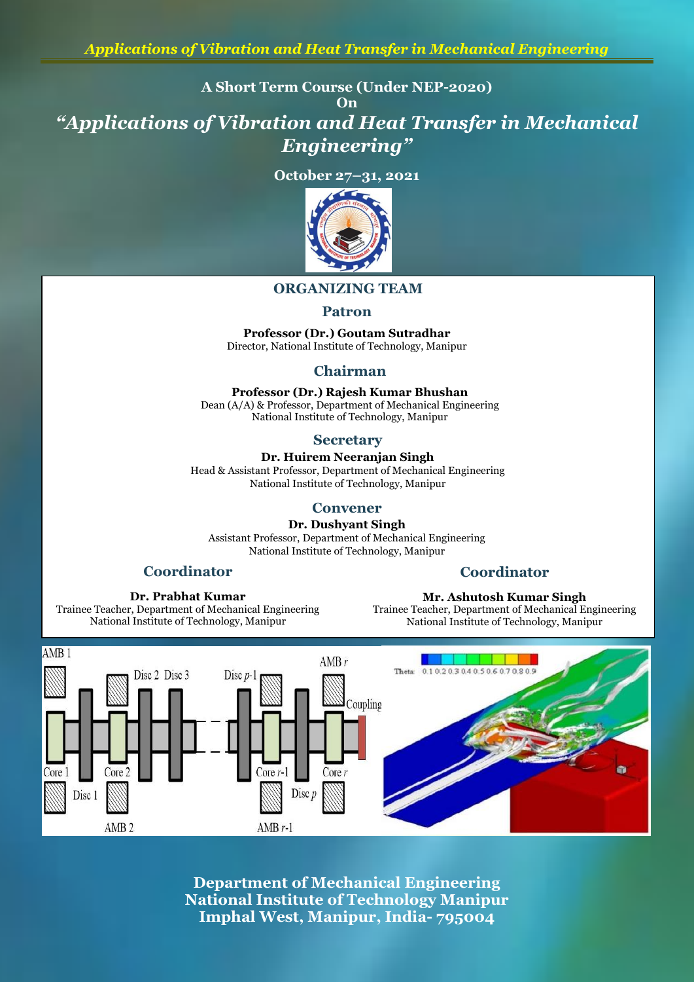**A Short Term Course (Under NEP-2020)**

**On**

*"Applications of Vibration and Heat Transfer in Mechanical Engineering"*

**October 27–31, 2021**



## **ORGANIZING TEAM**

#### **Patron**

**Professor (Dr.) Goutam Sutradhar** Director, National Institute of Technology, Manipur

## **Chairman**

**Professor (Dr.) Rajesh Kumar Bhushan** Dean (A/A) & Professor, Department of Mechanical Engineering National Institute of Technology, Manipur

#### **Secretary**

**Dr. Huirem Neeranjan Singh** Head & Assistant Professor, Department of Mechanical Engineering National Institute of Technology, Manipur

#### **Convener**

**Dr. Dushyant Singh**

Assistant Professor, Department of Mechanical Engineering National Institute of Technology, Manipur

## **Coordinator**

#### **Coordinator**

**Mr. Ashutosh Kumar Singh**

**Dr. Prabhat Kumar** Trainee Teacher, Department of Mechanical Engineering National Institute of Technology, Manipur

#### Trainee Teacher, Department of Mechanical Engineering National Institute of Technology, Manipur



**Department of Mechanical Engineering National Institute of Technology Manipur Imphal West, Manipur, India- 795004**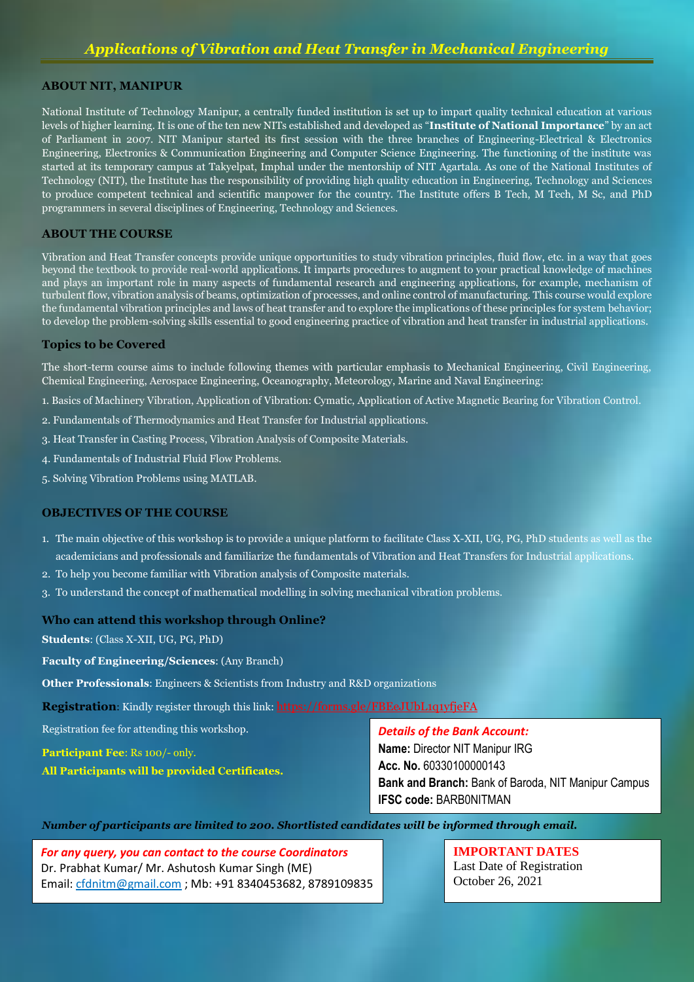#### **ABOUT NIT, MANIPUR**

National Institute of Technology Manipur, a centrally funded institution is set up to impart quality technical education at various levels of higher learning. It is one of the ten new NITs established and developed as "**Institute of National Importance**" by an act of Parliament in 2007. NIT Manipur started its first session with the three branches of Engineering-Electrical & Electronics Engineering, Electronics & Communication Engineering and Computer Science Engineering. The functioning of the institute was started at its temporary campus at Takyelpat, Imphal under the mentorship of NIT Agartala. As one of the National Institutes of Technology (NIT), the Institute has the responsibility of providing high quality education in Engineering, Technology and Sciences to produce competent technical and scientific manpower for the country. The Institute offers B Tech, M Tech, M Sc, and PhD programmers in several disciplines of Engineering, Technology and Sciences.

#### **ABOUT THE COURSE**

Vibration and Heat Transfer concepts provide unique opportunities to study vibration principles, fluid flow, etc. in a way that goes beyond the textbook to provide real-world applications. It imparts procedures to augment to your practical knowledge of machines and plays an important role in many aspects of fundamental research and engineering applications, for example, mechanism of turbulent flow, vibration analysis of beams, optimization of processes, and online control of manufacturing. This course would explore the fundamental vibration principles and laws of heat transfer and to explore the implications of these principles for system behavior; to develop the problem-solving skills essential to good engineering practice of vibration and heat transfer in industrial applications.

#### **Topics to be Covered**

The short-term course aims to include following themes with particular emphasis to Mechanical Engineering, Civil Engineering, Chemical Engineering, Aerospace Engineering, Oceanography, Meteorology, Marine and Naval Engineering:

1. Basics of Machinery Vibration, Application of Vibration: Cymatic, Application of Active Magnetic Bearing for Vibration Control.

- 2. Fundamentals of Thermodynamics and Heat Transfer for Industrial applications.
- 3. Heat Transfer in Casting Process, Vibration Analysis of Composite Materials.
- 4. Fundamentals of Industrial Fluid Flow Problems.
- 5. Solving Vibration Problems using MATLAB.

#### **OBJECTIVES OF THE COURSE**

- 1. The main objective of this workshop is to provide a unique platform to facilitate Class X-XII, UG, PG, PhD students as well as the academicians and professionals and familiarize the fundamentals of Vibration and Heat Transfers for Industrial applications.
- 2. To help you become familiar with Vibration analysis of Composite materials.
- 3. To understand the concept of mathematical modelling in solving mechanical vibration problems.

#### **Who can attend this workshop through Online?**

**Students**: (Class X-XII, UG, PG, PhD)

**Faculty of Engineering/Sciences**: (Any Branch)

**Other Professionals**: Engineers & Scientists from Industry and R&D organizations

**Registration**: Kindly register through this link: https://forms.gle/FBEeJUbL1q1yfjeFA

Registration fee for attending this workshop.

**Participant Fee**: Rs 100/- only.

**All Participants will be provided Certificates.**

#### *Details of the Bank Account:*

**Name:** Director NIT Manipur IRG **Acc. No.** 60330100000143 **Bank and Branch:** Bank of Baroda, NIT Manipur Campus **IFSC code:** BARB0NITMAN

*Number of participants are limited to 200. Shortlisted candidates will be informed through email.*

*For any query, you can contact to the course Coordinators* Dr. Prabhat Kumar/ Mr. Ashutosh Kumar Singh (ME) Email: cfdnitm@gmail.com ; Mb: +91 8340453682, 8789109835 **IMPORTANT DATES** Last Date of Registration October 26, 2021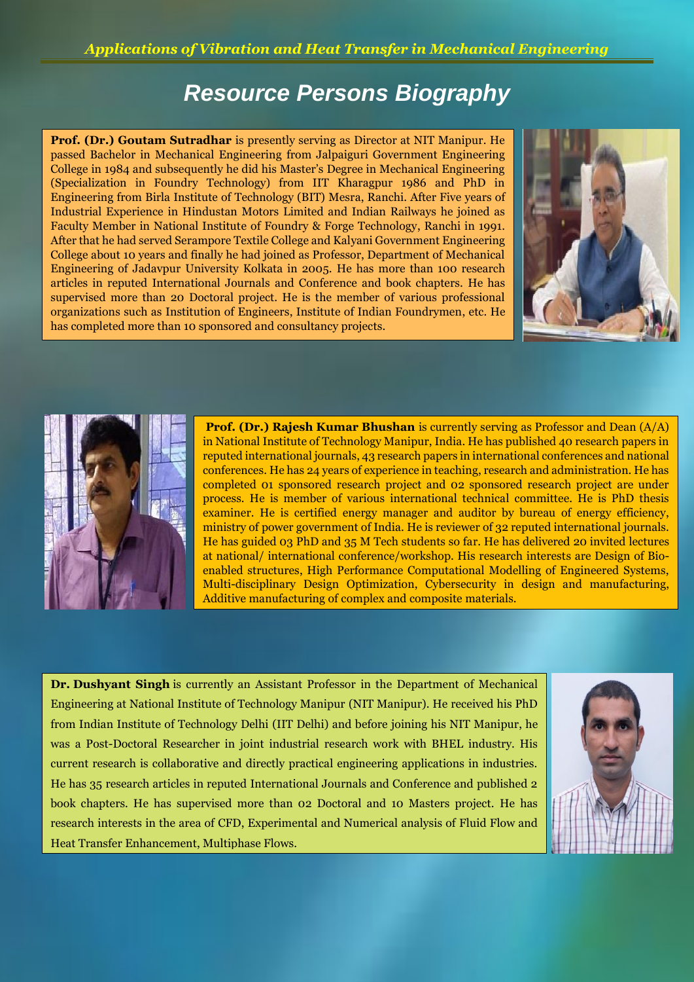# *Resource Persons Biography*

**Prof. (Dr.) Goutam Sutradhar** is presently serving as Director at NIT Manipur. He passed Bachelor in Mechanical Engineering from Jalpaiguri Government Engineering College in 1984 and subsequently he did his Master's Degree in Mechanical Engineering (Specialization in Foundry Technology) from IIT Kharagpur 1986 and PhD in Engineering from Birla Institute of Technology (BIT) Mesra, Ranchi. After Five years of Industrial Experience in Hindustan Motors Limited and Indian Railways he joined as Faculty Member in National Institute of Foundry & Forge Technology, Ranchi in 1991. After that he had served Serampore Textile College and Kalyani Government Engineering College about 10 years and finally he had joined as Professor, Department of Mechanical Engineering of Jadavpur University Kolkata in 2005. He has more than 100 research articles in reputed International Journals and Conference and book chapters. He has supervised more than 20 Doctoral project. He is the member of various professional organizations such as Institution of Engineers, Institute of Indian Foundrymen, etc. He has completed more than 10 sponsored and consultancy projects.





**Prof. (Dr.) Rajesh Kumar Bhushan** is currently serving as Professor and Dean (A/A) in National Institute of Technology Manipur, India. He has published 40 research papers in reputed international journals, 43 research papers in international conferences and national conferences. He has 24 years of experience in teaching, research and administration. He has completed 01 sponsored research project and 02 sponsored research project are under process. He is member of various international technical committee. He is PhD thesis examiner. He is certified energy manager and auditor by bureau of energy efficiency, ministry of power government of India. He is reviewer of 32 reputed international journals. He has guided 03 PhD and 35 M Tech students so far. He has delivered 20 invited lectures at national/ international conference/workshop. His research interests are Design of Bioenabled structures, High Performance Computational Modelling of Engineered Systems, Multi-disciplinary Design Optimization, Cybersecurity in design and manufacturing, Additive manufacturing of complex and composite materials.

**Dr. Dushyant Singh** is currently an Assistant Professor in the Department of Mechanical Engineering at National Institute of Technology Manipur (NIT Manipur). He received his PhD from Indian Institute of Technology Delhi (IIT Delhi) and before joining his NIT Manipur, he was a Post-Doctoral Researcher in joint industrial research work with BHEL industry. His current research is collaborative and directly practical engineering applications in industries. He has 35 research articles in reputed International Journals and Conference and published 2 book chapters. He has supervised more than 02 Doctoral and 10 Masters project. He has research interests in the area of CFD, Experimental and Numerical analysis of Fluid Flow and Heat Transfer Enhancement, Multiphase Flows.

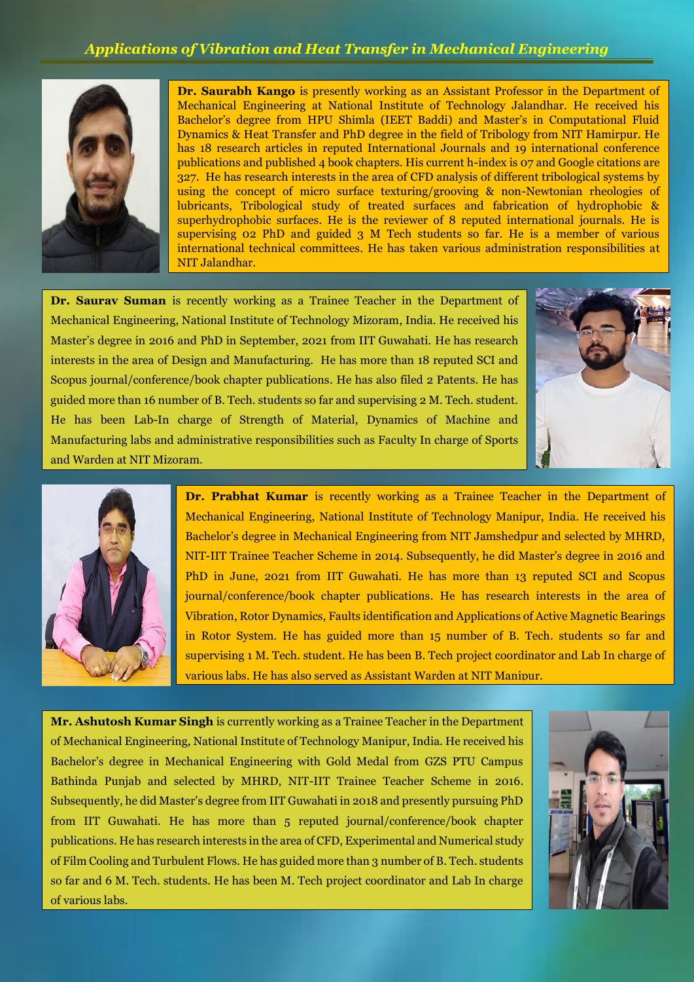## *Applications of Vibration and Heat Transfer in Mechanical Engineering*



**Dr. Saurabh Kango** is presently working as an Assistant Professor in the Department of Mechanical Engineering at National Institute of Technology Jalandhar. He received his Bachelor's degree from HPU Shimla (IEET Baddi) and Master's in Computational Fluid Dynamics & Heat Transfer and PhD degree in the field of Tribology from NIT Hamirpur. He has 18 research articles in reputed International Journals and 19 international conference publications and published 4 book chapters. His current h-index is 07 and Google citations are 327. He has research interests in the area of CFD analysis of different tribological systems by using the concept of micro surface texturing/grooving & non-Newtonian rheologies of lubricants, Tribological study of treated surfaces and fabrication of hydrophobic & superhydrophobic surfaces. He is the reviewer of 8 reputed international journals. He is supervising 02 PhD and guided 3 M Tech students so far. He is a member of various international technical committees. He has taken various administration responsibilities at NIT Jalandhar.

**Dr. Saurav Suman** is recently working as a Trainee Teacher in the Department of Mechanical Engineering, National Institute of Technology Mizoram, India. He received his Master's degree in 2016 and PhD in September, 2021 from IIT Guwahati. He has research interests in the area of Design and Manufacturing. He has more than 18 reputed SCI and Scopus journal/conference/book chapter publications. He has also filed 2 Patents. He has guided more than 16 number of B. Tech. students so far and supervising 2 M. Tech. student. He has been Lab-In charge of Strength of Material, Dynamics of Machine and Manufacturing labs and administrative responsibilities such as Faculty In charge of Sports and Warden at NIT Mizoram.





.<br>r

**Dr. Prabhat Kumar** is recently working as a Trainee Teacher in the Department of Mechanical Engineering, National Institute of Technology Manipur, India. He received his Bachelor's degree in Mechanical Engineering from NIT Jamshedpur and selected by MHRD, NIT-IIT Trainee Teacher Scheme in 2014. Subsequently, he did Master's degree in 2016 and PhD in June, 2021 from IIT Guwahati. He has more than 13 reputed SCI and Scopus journal/conference/book chapter publications. He has research interests in the area of Vibration, Rotor Dynamics, Faults identification and Applications of Active Magnetic Bearings in Rotor System. He has guided more than 15 number of B. Tech. students so far and supervising 1 M. Tech. student. He has been B. Tech project coordinator and Lab In charge of various labs. He has also served as Assistant Warden at NIT Manipur.

**Mr. Ashutosh Kumar Singh** is currently working as a Trainee Teacher in the Department of Mechanical Engineering, National Institute of Technology Manipur, India. He received his Bachelor's degree in Mechanical Engineering with Gold Medal from GZS PTU Campus Bathinda Punjab and selected by MHRD, NIT-IIT Trainee Teacher Scheme in 2016. Subsequently, he did Master's degree from IIT Guwahati in 2018 and presently pursuing PhD from IIT Guwahati. He has more than 5 reputed journal/conference/book chapter publications. He has research interests in the area of CFD, Experimental and Numerical study of Film Cooling and Turbulent Flows. He has guided more than 3 number of B. Tech. students so far and 6 M. Tech. students. He has been M. Tech project coordinator and Lab In charge of various labs.